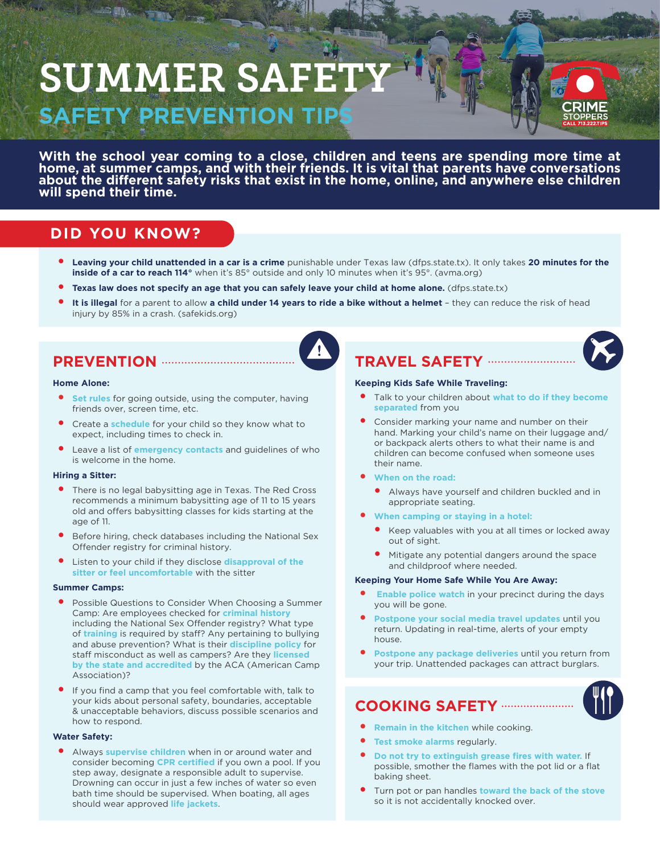# SUMMER SAFI **SAFETY PREVENTION TIP**

**FILE** 



**With the school year coming to a close, children and teens are spending more time at home, at summer camps, and with their friends. It is vital that parents have conversations**  about the different safety risks that exist in the home, online, and anywhere else children **will spend their time.**

# **DID YOU KNOW?**

- y **Leaving your child unattended in a car is a crime** punishable under Texas law (dfps.state.tx). It only takes **20 minutes for the inside of a car to reach 114°** when it's 85° outside and only 10 minutes when it's 95°. (avma.org)
- Texas law does not specify an age that you can safely leave your child at home alone. (dfps.state.tx)
- It is illegal for a parent to allow a child under 14 years to ride a bike without a helmet they can reduce the risk of head injury by 85% in a crash. (safekids.org)

# **PREVENTION**

#### **Home Alone:**

- **Set rules** for going outside, using the computer, having friends over, screen time, etc.
- Create a **schedule** for your child so they know what to expect, including times to check in.
- Leave a list of **emergency contacts** and guidelines of who is welcome in the home.

## **Hiring a Sitter:**

- There is no legal babysitting age in Texas. The Red Cross recommends a minimum babysitting age of 11 to 15 years old and offers babysitting classes for kids starting at the age of 11.
- Before hiring, check databases including the National Sex Offender registry for criminal history.
- Listen to your child if they disclose **disapproval of the sitter or feel uncomfortable** with the sitter

## **Summer Camps:**

- Possible Questions to Consider When Choosing a Summer Camp: Are employees checked for **criminal history** including the National Sex Offender registry? What type of **training** is required by staff? Any pertaining to bullying and abuse prevention? What is their **discipline policy** for staff misconduct as well as campers? Are they **licensed by the state and accredited** by the ACA (American Camp Association)?
- If you find a camp that you feel comfortable with, talk to your kids about personal safety, boundaries, acceptable & unacceptable behaviors, discuss possible scenarios and how to respond.

## **Water Safety:**

Always **supervise children** when in or around water and consider becoming **CPR certified** if you own a pool. If you step away, designate a responsible adult to supervise. Drowning can occur in just a few inches of water so even bath time should be supervised. When boating, all ages should wear approved **life jackets**.

## **TRAVEL SAFETY**

## **Keeping Kids Safe While Traveling:**

- Talk to your children about **what to do if they become separated** from you
- Consider marking your name and number on their hand. Marking your child's name on their luggage and/ or backpack alerts others to what their name is and children can become confused when someone uses their name.
- y **When on the road:**
	- y Always have yourself and children buckled and in appropriate seating.
- **When camping or staying in a hotel:** 
	- Keep valuables with you at all times or locked away out of sight.
	- Mitigate any potential dangers around the space and childproof where needed.

## **Keeping Your Home Safe While You Are Away:**

- **Enable police watch** in your precinct during the days you will be gone.
- Postpone your social media travel updates until you return. Updating in real-time, alerts of your empty house.
- Postpone any package deliveries until you return from your trip. Unattended packages can attract burglars.

## **COOKING SAFETY**

- **Remain in the kitchen** while cooking.
- **Test smoke alarms regularly.**
- Do not try to extinguish grease fires with water. If possible, smother the flames with the pot lid or a flat baking sheet.
- Turn pot or pan handles **toward the back of the stove** so it is not accidentally knocked over.